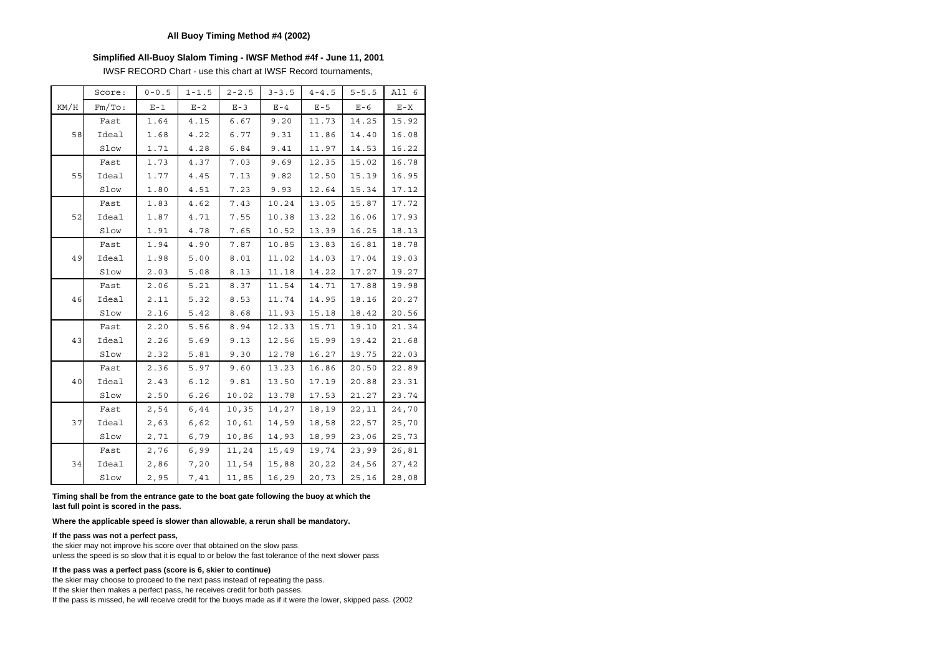### **Simplified All-Buoy Slalom Timing - IWSF Method #4f - June 11, 2001**

IWSF RECORD Chart - use this chart at IWSF Record tournaments,

|      | Score: | $0 - 0.5$ | $1 - 1.5$ | $2 - 2.5$ | $3 - 3.5$ | $4 - 4.5$ | $5 - 5.5$ | All 6   |
|------|--------|-----------|-----------|-----------|-----------|-----------|-----------|---------|
| KM/H | Fm/TO: | $E - 1$   | $E - 2$   | $E - 3$   | $E - 4$   | $E - 5$   | $E - 6$   | $E - X$ |
|      | Fast   | 1.64      | 4.15      | 6.67      | 9.20      | 11.73     | 14.25     | 15.92   |
| 58   | Ideal  | 1.68      | 4.22      | 6.77      | 9.31      | 11.86     | 14.40     | 16.08   |
|      | Slow   | 1.71      | 4.28      | 6.84      | 9.41      | 11.97     | 14.53     | 16.22   |
|      | Fast   | 1.73      | 4.37      | 7.03      | 9.69      | 12.35     | 15.02     | 16.78   |
| 55   | Ideal  | 1.77      | 4.45      | 7.13      | 9.82      | 12.50     | 15.19     | 16.95   |
|      | Slow   | 1.80      | 4.51      | 7.23      | 9.93      | 12.64     | 15.34     | 17.12   |
|      | Fast   | 1.83      | 4.62      | 7.43      | 10.24     | 13.05     | 15.87     | 17.72   |
| 52   | Ideal  | 1.87      | 4.71      | 7.55      | 10.38     | 13.22     | 16.06     | 17.93   |
|      | Slow   | 1.91      | 4.78      | 7.65      | 10.52     | 13.39     | 16.25     | 18.13   |
|      | Fast   | 1.94      | 4.90      | 7.87      | 10.85     | 13.83     | 16.81     | 18.78   |
| 49   | Ideal  | 1.98      | 5.00      | 8.01      | 11.02     | 14.03     | 17.04     | 19.03   |
|      | Slow   | 2.03      | 5.08      | 8.13      | 11.18     | 14.22     | 17.27     | 19.27   |
|      | Fast   | 2.06      | 5.21      | 8.37      | 11.54     | 14.71     | 17.88     | 19.98   |
| 46   | Ideal  | 2.11      | 5.32      | 8.53      | 11.74     | 14.95     | 18.16     | 20.27   |
|      | Slow   | 2.16      | 5.42      | 8.68      | 11.93     | 15.18     | 18.42     | 20.56   |
|      | Fast   | 2.20      | 5.56      | 8.94      | 12.33     | 15.71     | 19.10     | 21.34   |
| 43   | Ideal  | 2.26      | 5.69      | 9.13      | 12.56     | 15.99     | 19.42     | 21.68   |
|      | Slow   | 2.32      | 5.81      | 9.30      | 12.78     | 16.27     | 19.75     | 22.03   |
|      | Fast   | 2.36      | 5.97      | 9.60      | 13.23     | 16.86     | 20.50     | 22.89   |
| 40   | Ideal  | 2.43      | 6.12      | 9.81      | 13.50     | 17.19     | 20.88     | 23.31   |
|      | Slow   | 2.50      | 6.26      | 10.02     | 13.78     | 17.53     | 21.27     | 23.74   |
|      | Fast   | 2,54      | 6,44      | 10,35     | 14,27     | 18,19     | 22,11     | 24,70   |
| 37   | Ideal  | 2,63      | 6,62      | 10,61     | 14,59     | 18,58     | 22,57     | 25,70   |
|      | Slow   | 2,71      | 6,79      | 10,86     | 14,93     | 18,99     | 23,06     | 25,73   |
|      | Fast   | 2,76      | 6,99      | 11,24     | 15,49     | 19,74     | 23,99     | 26,81   |
| 34   | Ideal  | 2,86      | 7,20      | 11,54     | 15,88     | 20,22     | 24,56     | 27,42   |
|      | Slow   | 2,95      | 7,41      | 11,85     | 16,29     | 20,73     | 25,16     | 28,08   |

**Timing shall be from the entrance gate to the boat gate following the buoy at which the last full point is scored in the pass.** 

**Where the applicable speed is slower than allowable, a rerun shall be mandatory.**

### **If the pass was not a perfect pass,**

the skier may not improve his score over that obtained on the slow pass, unless the speed is so slow that it is equal to or below the fast tolerance of the next slower pass

### **If the pass was a perfect pass (score is 6, skier to continue)**

the skier may choose to proceed to the next pass instead of repeating the pass. If the skier then makes a perfect pass, he receives credit for both passes. If the pass is missed, he will receive credit for the buoys made as if it were the lower, skipped pass. (2002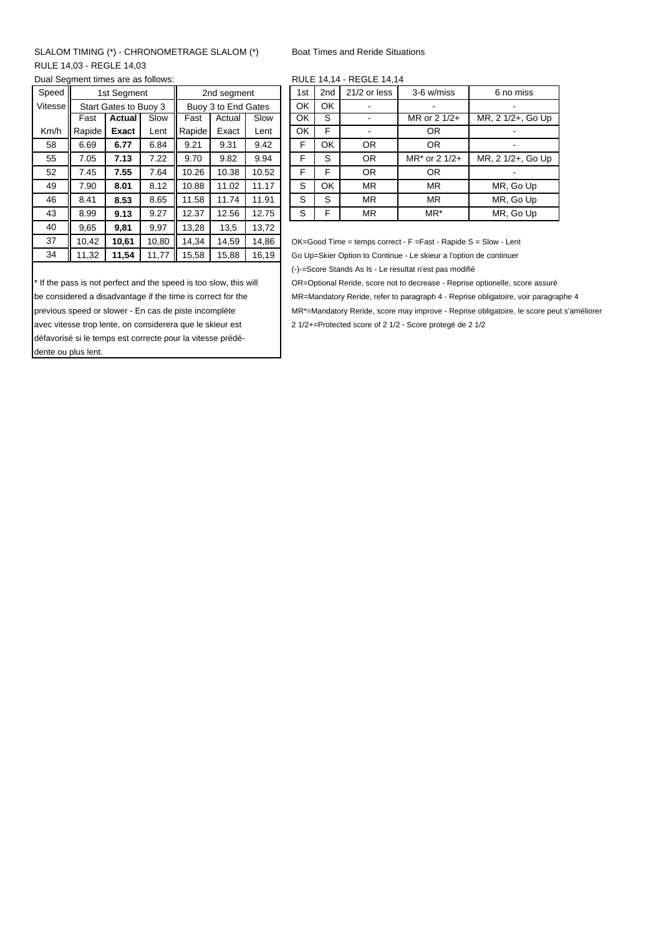# SLALOM TIMING (\*) - CHRONOMETRAGE SLALOM (\*) Boat Times and Reride Situations RULE 14,03 - REGLE 14,03

Dual Segment times are as follows:

| 3-6 w/miss<br>6 no                                                |
|-------------------------------------------------------------------|
|                                                                   |
|                                                                   |
| MR. 2 1/2<br>MR or $2 \frac{1}{2}$ +                              |
|                                                                   |
|                                                                   |
| MR, 2 1/2<br>$MR^*$ or 2 1/2+                                     |
|                                                                   |
| MR, G                                                             |
| MR. G                                                             |
| MR. G                                                             |
|                                                                   |
| OK=Good Time = temps correct - F = Fast - Rapide S = Slow - Ler   |
| Go Up=Skier Option to Continue - Le skieur a l'option de continue |
|                                                                   |

\* If the pass is not perfect and the speed is too slow, this will OR=Optional Reride, score not to decrease - Reprise optionelle, score assuré previous speed or slower - En cas de piste incomplète MR\*=Mandatory Reride, score may improve - Reprise obligatoire, le score peut s'améliorer avec vitesse trop lente, on considerera que le skieur est 2 1/2+=Protected score of 2 1/2 - Score protegé de 2 1/2 défavorisé si le temps est correcte pour la vitesse prédédente ou plus lent.

|  | RULE 14,14 - REGLE 14,14 |  |
|--|--------------------------|--|
|  |                          |  |

| Speed   | 1st Segment |                       |      | 2nd segment         |        |       |    | 1st | 2 <sub>nd</sub> | 21/2 or less | 3-6 w/miss      | 6 no miss         |  |  |
|---------|-------------|-----------------------|------|---------------------|--------|-------|----|-----|-----------------|--------------|-----------------|-------------------|--|--|
| Vitesse |             | Start Gates to Buoy 3 |      | Buoy 3 to End Gates |        |       | OK | OK  |                 |              |                 |                   |  |  |
|         | Fast        | <b>Actual</b>         | Slow | Fast                | Actual | Slow  |    | OK  | S               |              | MR or 2 1/2+    | MR, 2 1/2+, Go Up |  |  |
| Km/h    | Rapide      | Exact                 | Lent | Rapide              | Exact  | Lent  |    | OK  | F               |              | 0R              |                   |  |  |
| 58      | 6.69        | 6.77                  | 6.84 | 9.21                | 9.31   | 9.42  |    | F   | OK              | <b>OR</b>    | OR.             |                   |  |  |
| 55      | 7.05        | 7.13                  | 7.22 | 9.70                | 9.82   | 9.94  |    | E   | S               | <b>OR</b>    | MR* or 2 1/2+   | MR, 2 1/2+, Go Up |  |  |
| 52      | 7.45        | 7.55                  | 7.64 | 10.26               | 10.38  | 10.52 |    | F   | F               | <b>OR</b>    | OR.             |                   |  |  |
| 49      | 7.90        | 8.01                  | 8.12 | 10.88               | 11.02  | 11.17 |    | S   | OK              | <b>MR</b>    | <b>MR</b>       | MR, Go Up         |  |  |
| 46      | 8.41        | 8.53                  | 8.65 | 11.58               | 11.74  | 11.91 |    | S   | S               | <b>MR</b>    | <b>MR</b>       | MR, Go Up         |  |  |
| 43      | 8.99        | 9.13                  | 9.27 | 12.37               | 12.56  | 12.75 |    | S   | F               | <b>MR</b>    | MR <sup>*</sup> | MR, Go Up         |  |  |
|         |             |                       |      |                     |        |       |    |     |                 |              |                 |                   |  |  |

Go Up=Skier Option to Continue - Le skieur a l'option de continuer

(-)-=Score Stands As Is - Le resultat n'est pas modifié

be considered a disadvantage if the time is correct for the MR=Mandatory Reride, refer to paragraph 4 - Reprise obligatoire, voir paragraphe 4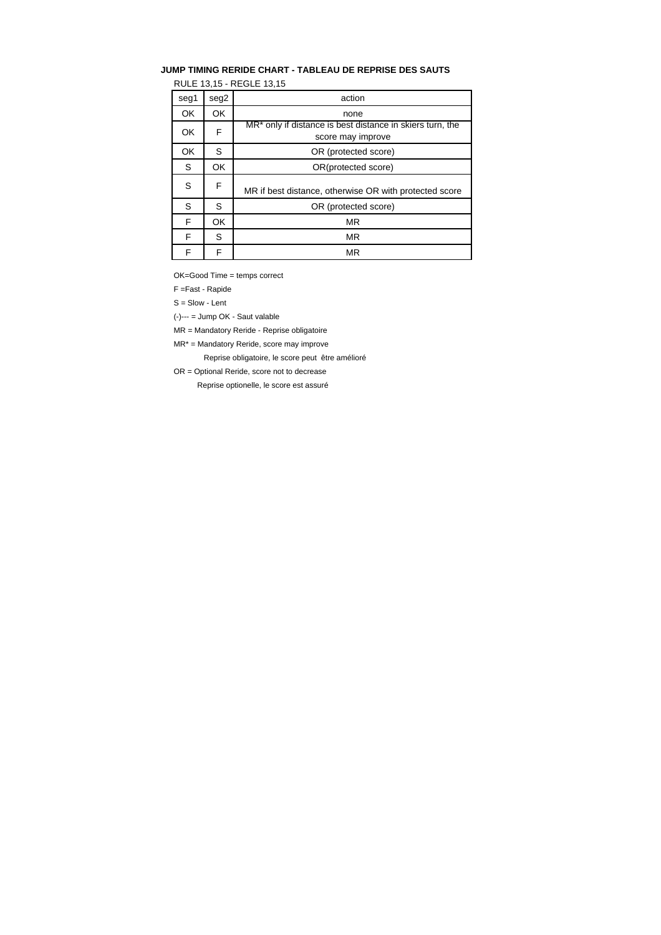# **JUMP TIMING RERIDE CHART - TABLEAU DE REPRISE DES SAUTS**

RULE 13,15 - REGLE 13,15

| seg1 | seg2 | action                                                                                     |
|------|------|--------------------------------------------------------------------------------------------|
| OK   | OK   | none                                                                                       |
| OK   | F    | MR <sup>*</sup> only if distance is best distance in skiers turn, the<br>score may improve |
| OK   | S    | OR (protected score)                                                                       |
| S    | OK   | OR(protected score)                                                                        |
| S    | F    | MR if best distance, otherwise OR with protected score                                     |
| S    | S    | OR (protected score)                                                                       |
| F    | OK   | <b>MR</b>                                                                                  |
| F    | S    | <b>MR</b>                                                                                  |
| F    | F    | ΜR                                                                                         |

OK=Good Time = temps correct

F =Fast - Rapide

S = Slow - Lent

(-)--- = Jump OK - Saut valable

MR = Mandatory Reride - Reprise obligatoire

MR\* = Mandatory Reride, score may improve

Reprise obligatoire, le score peut être amélioré

OR = Optional Reride, score not to decrease

Reprise optionelle, le score est assuré